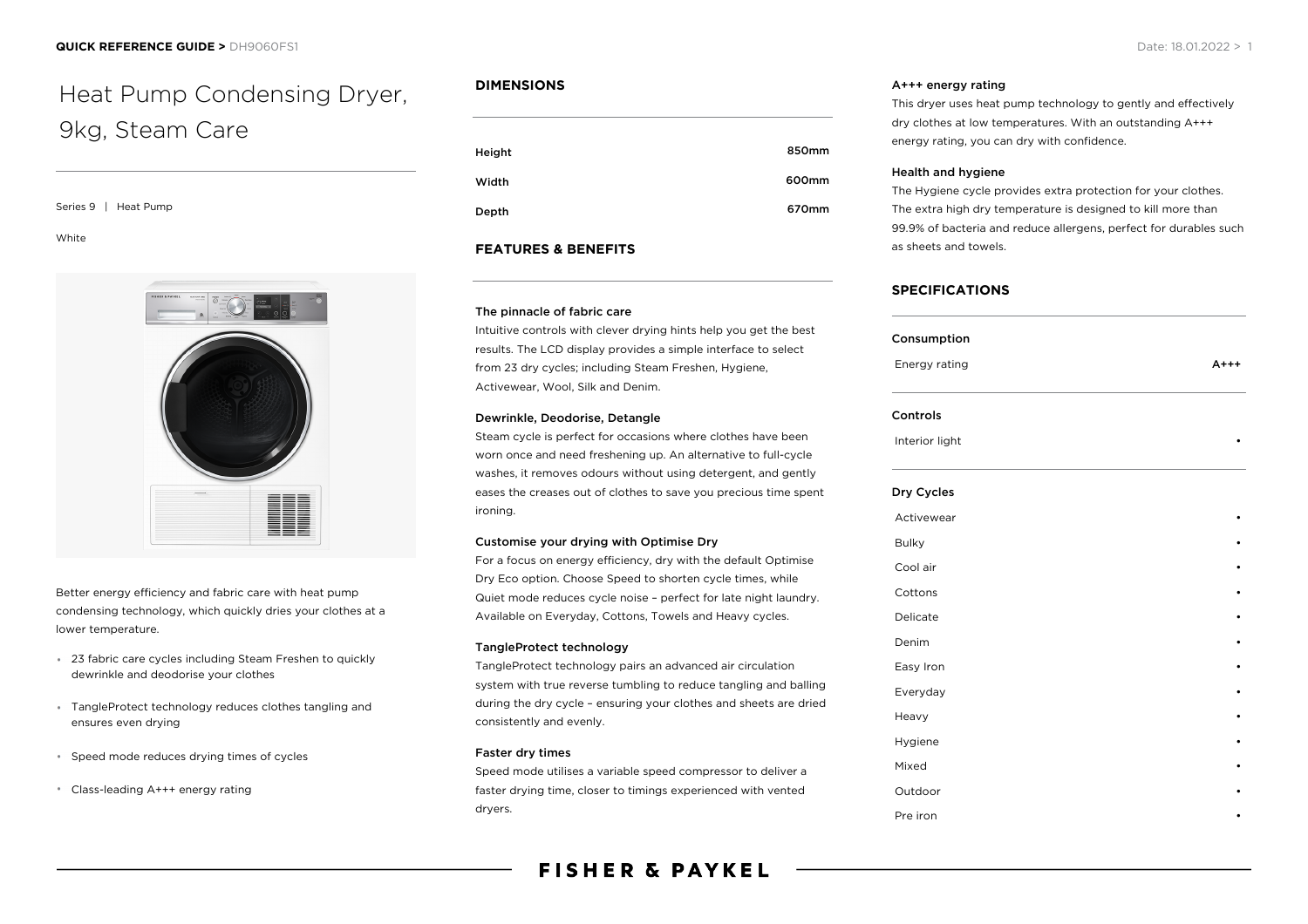# Heat Pump Condensing Dryer, 9kg, Steam Care

#### Series 9 | Heat Pump

White



Better energy efficiency and fabric care with heat pump condensing technology, which quickly dries your clothes at a lower temperature.

- 23 fabric care cycles including Steam Freshen to quickly dewrinkle and deodorise your clothes
- TangleProtect technology reduces clothes tangling and ensures even drying
- Speed mode reduces drying times of cycles
- Class-leading A+++ energy rating

## **DIMENSIONS**

| Height | 850mm |
|--------|-------|
| Width  | 600mm |
| Depth  | 670mm |

## **FEATURES & BENEFITS**

## The pinnacle of fabric care

Intuitive controls with clever drying hints help you get the best results. The LCD display provides a simple interface to select from 23 dry cycles; including Steam Freshen, Hygiene, Activewear, Wool, Silk and Denim.

#### Dewrinkle, Deodorise, Detangle

Steam cycle is perfect for occasions where clothes have been worn once and need freshening up. An alternative to full-cycle washes, it removes odours without using detergent, and gently eases the creases out of clothes to save you precious time spent ironing.

## Customise your drying with Optimise Dry

For a focus on energy efficiency, dry with the default Optimise Dry Eco option. Choose Speed to shorten cycle times, while Quiet mode reduces cycle noise – perfect for late night laundry. Available on Everyday, Cottons, Towels and Heavy cycles.

## TangleProtect technology

TangleProtect technology pairs an advanced air circulation system with true reverse tumbling to reduce tangling and balling during the dry cycle – ensuring your clothes and sheets are dried consistently and evenly.

## Faster dry times

Speed mode utilises a variable speed compressor to deliver a faster drying time, closer to timings experienced with vented dryers.

**FISHER & PAYKEL** 

## A+++ energy rating

This dryer uses heat pump technology to gently and effectively dry clothes at low temperatures. With an outstanding A+++ energy rating, you can dry with confidence.

### Health and hygiene

The Hygiene cycle provides extra protection for your clothes. The extra high dry temperature is designed to kill more than 99.9% of bacteria and reduce allergens, perfect for durables such as sheets and towels.

## **SPECIFICATIONS**

Easy Iron Everyday

**Hygiene** 

Outdoor • Pre iron

# Consumption Energy rating **A**+++ Controls Interior light Dry Cycles **Activewear** Bulky • Cool air • Cottons •

Delicate • Denim •

Heavy •

Mixed •